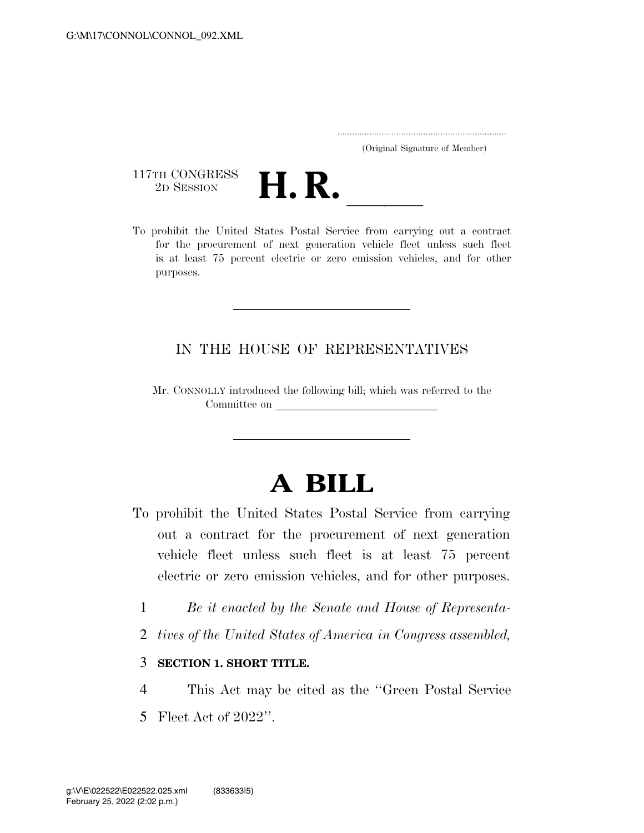..................................................................... (Original Signature of Member)

117TH CONGRESS<br>2D SESSION



117TH CONGRESS<br>
2D SESSION<br>
To prohibit the United States Postal Service from carrying out a contract for the procurement of next generation vehicle fleet unless such fleet is at least 75 percent electric or zero emission vehicles, and for other purposes.

## IN THE HOUSE OF REPRESENTATIVES

Mr. CONNOLLY introduced the following bill; which was referred to the Committee on

## **A BILL**

- To prohibit the United States Postal Service from carrying out a contract for the procurement of next generation vehicle fleet unless such fleet is at least 75 percent electric or zero emission vehicles, and for other purposes.
	- 1 *Be it enacted by the Senate and House of Representa-*
	- 2 *tives of the United States of America in Congress assembled,*

## 3 **SECTION 1. SHORT TITLE.**

- 4 This Act may be cited as the ''Green Postal Service
- 5 Fleet Act of 2022''.